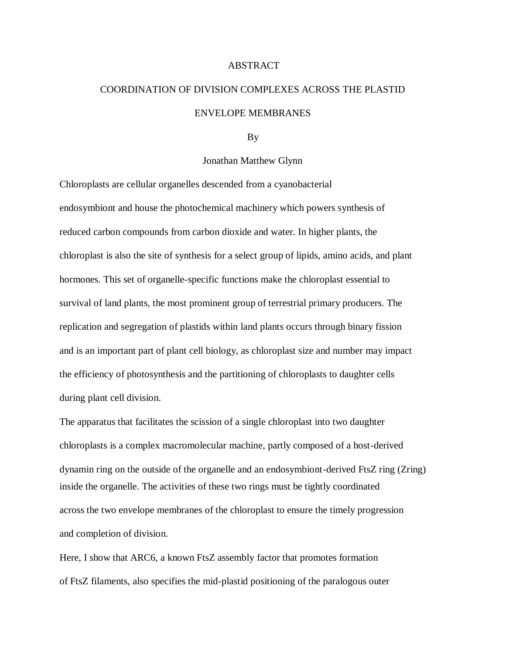## ABSTRACT

## COORDINATION OF DIVISION COMPLEXES ACROSS THE PLASTID ENVELOPE MEMBRANES

## By

## Jonathan Matthew Glynn

Chloroplasts are cellular organelles descended from a cyanobacterial endosymbiont and house the photochemical machinery which powers synthesis of reduced carbon compounds from carbon dioxide and water. In higher plants, the chloroplast is also the site of synthesis for a select group of lipids, amino acids, and plant hormones. This set of organelle-specific functions make the chloroplast essential to survival of land plants, the most prominent group of terrestrial primary producers. The replication and segregation of plastids within land plants occurs through binary fission and is an important part of plant cell biology, as chloroplast size and number may impact the efficiency of photosynthesis and the partitioning of chloroplasts to daughter cells during plant cell division.

The apparatus that facilitates the scission of a single chloroplast into two daughter chloroplasts is a complex macromolecular machine, partly composed of a host-derived dynamin ring on the outside of the organelle and an endosymbiont-derived FtsZ ring (Zring) inside the organelle. The activities of these two rings must be tightly coordinated across the two envelope membranes of the chloroplast to ensure the timely progression and completion of division.

Here, I show that ARC6, a known FtsZ assembly factor that promotes formation of FtsZ filaments, also specifies the mid-plastid positioning of the paralogous outer